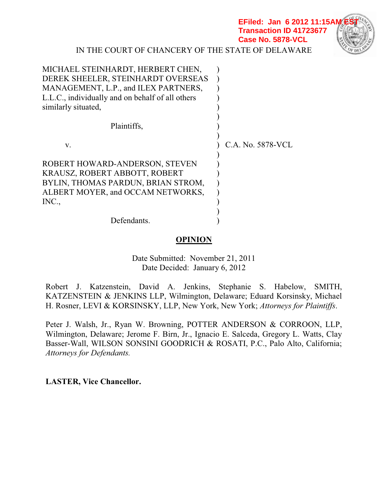**EFiled: Jan 6 2012 11:15A Transaction ID 41723677 Case No. 5878-VCL**



IN THE COURT OF CHANCERY OF THE STATE OF DELAWARE

| MICHAEL STEINHARDT, HERBERT CHEN,                |                   |
|--------------------------------------------------|-------------------|
| DEREK SHEELER, STEINHARDT OVERSEAS               |                   |
| MANAGEMENT, L.P., and ILEX PARTNERS,             |                   |
| L.L.C., individually and on behalf of all others |                   |
| similarly situated,                              |                   |
|                                                  |                   |
| Plaintiffs,                                      |                   |
|                                                  |                   |
| V.                                               | C.A. No. 5878-VCL |
|                                                  |                   |
| ROBERT HOWARD-ANDERSON, STEVEN                   |                   |
| KRAUSZ, ROBERT ABBOTT, ROBERT                    |                   |
| BYLIN, THOMAS PARDUN, BRIAN STROM,               |                   |
| ALBERT MOYER, and OCCAM NETWORKS,                |                   |
| INC.,                                            |                   |
|                                                  |                   |
| Defendants.                                      |                   |

# **OPINION**

Date Submitted: November 21, 2011 Date Decided: January 6, 2012

Robert J. Katzenstein, David A. Jenkins, Stephanie S. Habelow, SMITH, KATZENSTEIN & JENKINS LLP, Wilmington, Delaware; Eduard Korsinsky, Michael H. Rosner, LEVI & KORSINSKY, LLP, New York, New York; *Attorneys for Plaintiffs*.

Peter J. Walsh, Jr., Ryan W. Browning, POTTER ANDERSON & CORROON, LLP, Wilmington, Delaware; Jerome F. Birn, Jr., Ignacio E. Salceda, Gregory L. Watts, Clay Basser-Wall, WILSON SONSINI GOODRICH & ROSATI, P.C., Palo Alto, California; *Attorneys for Defendants.*

**LASTER, Vice Chancellor.**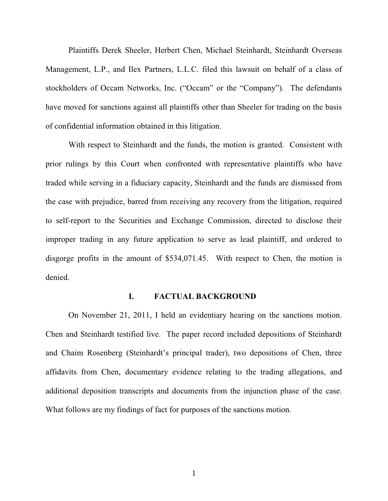Plaintiffs Derek Sheeler, Herbert Chen, Michael Steinhardt, Steinhardt Overseas Management, L.P., and Ilex Partners, L.L.C. filed this lawsuit on behalf of a class of stockholders of Occam Networks, Inc. ("Occam" or the "Company"). The defendants have moved for sanctions against all plaintiffs other than Sheeler for trading on the basis of confidential information obtained in this litigation.

With respect to Steinhardt and the funds, the motion is granted. Consistent with prior rulings by this Court when confronted with representative plaintiffs who have traded while serving in a fiduciary capacity, Steinhardt and the funds are dismissed from the case with prejudice, barred from receiving any recovery from the litigation, required to self-report to the Securities and Exchange Commission, directed to disclose their improper trading in any future application to serve as lead plaintiff, and ordered to disgorge profits in the amount of \$534,071.45. With respect to Chen, the motion is denied.

#### **I. FACTUAL BACKGROUND**

On November 21, 2011, I held an evidentiary hearing on the sanctions motion. Chen and Steinhardt testified live. The paper record included depositions of Steinhardt and Chaim Rosenberg (Steinhardt's principal trader), two depositions of Chen, three affidavits from Chen, documentary evidence relating to the trading allegations, and additional deposition transcripts and documents from the injunction phase of the case. What follows are my findings of fact for purposes of the sanctions motion.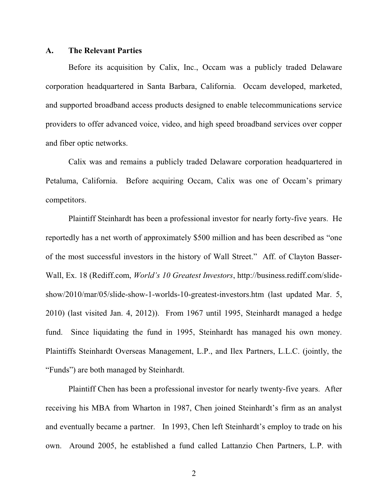#### **A. The Relevant Parties**

Before its acquisition by Calix, Inc., Occam was a publicly traded Delaware corporation headquartered in Santa Barbara, California. Occam developed, marketed, and supported broadband access products designed to enable telecommunications service providers to offer advanced voice, video, and high speed broadband services over copper and fiber optic networks.

Calix was and remains a publicly traded Delaware corporation headquartered in Petaluma, California. Before acquiring Occam, Calix was one of Occam's primary competitors.

Plaintiff Steinhardt has been a professional investor for nearly forty-five years. He reportedly has a net worth of approximately \$500 million and has been described as "one" of the most successful investors in the history of Wall Street.´ Aff. of Clayton Basser-Wall, Ex. 18 (Rediff.com, *World's 10 Greatest Investors*, http://business.rediff.com/slideshow/2010/mar/05/slide-show-1-worlds-10-greatest-investors.htm (last updated Mar. 5, 2010) (last visited Jan. 4, 2012)). From 1967 until 1995, Steinhardt managed a hedge fund. Since liquidating the fund in 1995, Steinhardt has managed his own money. Plaintiffs Steinhardt Overseas Management, L.P., and Ilex Partners, L.L.C. (jointly, the "Funds") are both managed by Steinhardt.

Plaintiff Chen has been a professional investor for nearly twenty-five years. After receiving his MBA from Wharton in 1987, Chen joined Steinhardt's firm as an analyst and eventually became a partner. In 1993, Chen left Steinhardt's employ to trade on his own. Around 2005, he established a fund called Lattanzio Chen Partners, L.P. with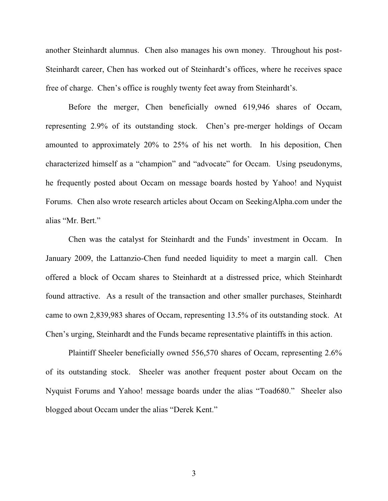another Steinhardt alumnus. Chen also manages his own money. Throughout his post-Steinhardt career, Chen has worked out of Steinhardt's offices, where he receives space free of charge. Chen's office is roughly twenty feet away from Steinhardt's.

Before the merger, Chen beneficially owned 619,946 shares of Occam, representing  $2.9\%$  of its outstanding stock. Chen's pre-merger holdings of Occam amounted to approximately 20% to 25% of his net worth. In his deposition, Chen characterized himself as a "champion" and "advocate" for Occam. Using pseudonyms, he frequently posted about Occam on message boards hosted by Yahoo! and Nyquist Forums. Chen also wrote research articles about Occam on SeekingAlpha.com under the alias "Mr. Bert."

Chen was the catalyst for Steinhardt and the Funds' investment in Occam. In January 2009, the Lattanzio-Chen fund needed liquidity to meet a margin call. Chen offered a block of Occam shares to Steinhardt at a distressed price, which Steinhardt found attractive. As a result of the transaction and other smaller purchases, Steinhardt came to own 2,839,983 shares of Occam, representing 13.5% of its outstanding stock. At Chen's urging, Steinhardt and the Funds became representative plaintiffs in this action.

Plaintiff Sheeler beneficially owned 556,570 shares of Occam, representing 2.6% of its outstanding stock. Sheeler was another frequent poster about Occam on the Nyquist Forums and Yahoo! message boards under the alias "Toad680." Sheeler also blogged about Occam under the alias "Derek Kent."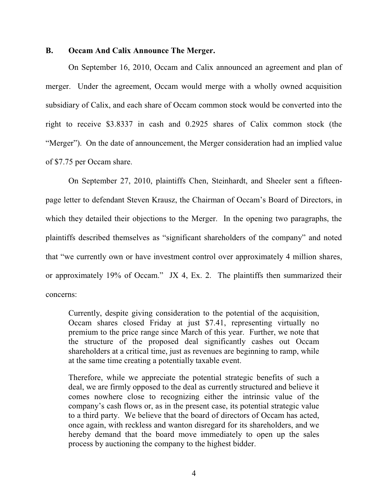#### **B. Occam And Calix Announce The Merger.**

On September 16, 2010, Occam and Calix announced an agreement and plan of merger. Under the agreement, Occam would merge with a wholly owned acquisition subsidiary of Calix, and each share of Occam common stock would be converted into the right to receive \$3.8337 in cash and 0.2925 shares of Calix common stock (the "Merger"). On the date of announcement, the Merger consideration had an implied value of \$7.75 per Occam share.

On September 27, 2010, plaintiffs Chen, Steinhardt, and Sheeler sent a fifteenpage letter to defendant Steven Krausz, the Chairman of Occam's Board of Directors, in which they detailed their objections to the Merger. In the opening two paragraphs, the plaintiffs described themselves as "significant shareholders of the company" and noted that "we currently own or have investment control over approximately 4 million shares, or approximately 19% of Occam." JX 4, Ex. 2. The plaintiffs then summarized their concerns:

Currently, despite giving consideration to the potential of the acquisition, Occam shares closed Friday at just \$7.41, representing virtually no premium to the price range since March of this year. Further, we note that the structure of the proposed deal significantly cashes out Occam shareholders at a critical time, just as revenues are beginning to ramp, while at the same time creating a potentially taxable event.

Therefore, while we appreciate the potential strategic benefits of such a deal, we are firmly opposed to the deal as currently structured and believe it comes nowhere close to recognizing either the intrinsic value of the company's cash flows or, as in the present case, its potential strategic value to a third party. We believe that the board of directors of Occam has acted, once again, with reckless and wanton disregard for its shareholders, and we hereby demand that the board move immediately to open up the sales process by auctioning the company to the highest bidder.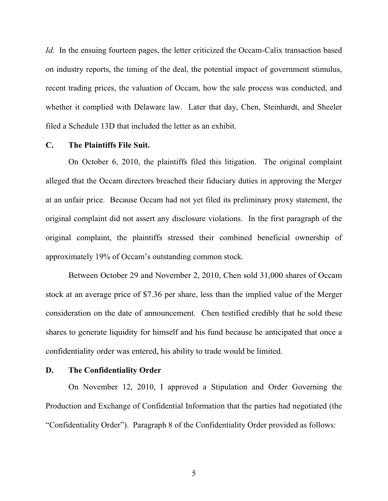*Id.* In the ensuing fourteen pages, the letter criticized the Occam-Calix transaction based on industry reports, the timing of the deal, the potential impact of government stimulus, recent trading prices, the valuation of Occam, how the sale process was conducted, and whether it complied with Delaware law. Later that day, Chen, Steinhardt, and Sheeler filed a Schedule 13D that included the letter as an exhibit.

#### **C. The Plaintiffs File Suit.**

On October 6, 2010, the plaintiffs filed this litigation. The original complaint alleged that the Occam directors breached their fiduciary duties in approving the Merger at an unfair price. Because Occam had not yet filed its preliminary proxy statement, the original complaint did not assert any disclosure violations. In the first paragraph of the original complaint, the plaintiffs stressed their combined beneficial ownership of approximately 19% of Occam's outstanding common stock.

Between October 29 and November 2, 2010, Chen sold 31,000 shares of Occam stock at an average price of \$7.36 per share, less than the implied value of the Merger consideration on the date of announcement. Chen testified credibly that he sold these shares to generate liquidity for himself and his fund because he anticipated that once a confidentiality order was entered, his ability to trade would be limited.

### **D. The Confidentiality Order**

On November 12, 2010, I approved a Stipulation and Order Governing the Production and Exchange of Confidential Information that the parties had negotiated (the "Confidentiality Order"). Paragraph 8 of the Confidentiality Order provided as follows: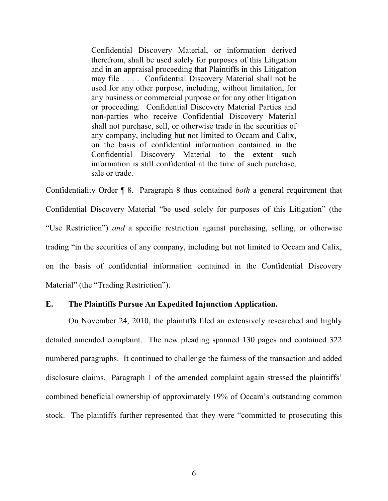Confidential Discovery Material, or information derived therefrom, shall be used solely for purposes of this Litigation and in an appraisal proceeding that Plaintiffs in this Litigation may file . . . . Confidential Discovery Material shall not be used for any other purpose, including, without limitation, for any business or commercial purpose or for any other litigation or proceeding. Confidential Discovery Material Parties and non-parties who receive Confidential Discovery Material shall not purchase, sell, or otherwise trade in the securities of any company, including but not limited to Occam and Calix, on the basis of confidential information contained in the Confidential Discovery Material to the extent such information is still confidential at the time of such purchase, sale or trade.

Confidentiality Order ¶ 8. Paragraph 8 thus contained *both* a general requirement that Confidential Discovery Material "be used solely for purposes of this Litigation" (the "Use Restriction") *and* a specific restriction against purchasing, selling, or otherwise trading "in the securities of any company, including but not limited to Occam and Calix, on the basis of confidential information contained in the Confidential Discovery Material" (the "Trading Restriction").

# **E. The Plaintiffs Pursue An Expedited Injunction Application.**

On November 24, 2010, the plaintiffs filed an extensively researched and highly detailed amended complaint. The new pleading spanned 130 pages and contained 322 numbered paragraphs. It continued to challenge the fairness of the transaction and added disclosure claims. Paragraph 1 of the amended complaint again stressed the plaintiffs' combined beneficial ownership of approximately 19% of Occam's outstanding common stock. The plaintiffs further represented that they were "committed to prosecuting this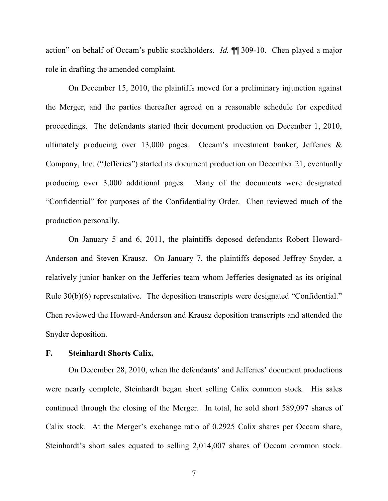action" on behalf of Occam's public stockholders. *Id.* ¶ 309-10. Chen played a major role in drafting the amended complaint.

On December 15, 2010, the plaintiffs moved for a preliminary injunction against the Merger, and the parties thereafter agreed on a reasonable schedule for expedited proceedings. The defendants started their document production on December 1, 2010, ultimately producing over 13,000 pages. Occam's investment banker, Jefferies  $\&$ Company, Inc. ("Jefferies") started its document production on December 21, eventually producing over 3,000 additional pages. Many of the documents were designated "Confidential" for purposes of the Confidentiality Order. Chen reviewed much of the production personally.

On January 5 and 6, 2011, the plaintiffs deposed defendants Robert Howard-Anderson and Steven Krausz. On January 7, the plaintiffs deposed Jeffrey Snyder, a relatively junior banker on the Jefferies team whom Jefferies designated as its original Rule  $30(b)(6)$  representative. The deposition transcripts were designated "Confidential." Chen reviewed the Howard-Anderson and Krausz deposition transcripts and attended the Snyder deposition.

#### **F. Steinhardt Shorts Calix.**

On December 28, 2010, when the defendants' and Jefferies' document productions were nearly complete, Steinhardt began short selling Calix common stock. His sales continued through the closing of the Merger. In total, he sold short 589,097 shares of Calix stock. At the Merger's exchange ratio of 0.2925 Calix shares per Occam share, Steinhardt's short sales equated to selling 2,014,007 shares of Occam common stock.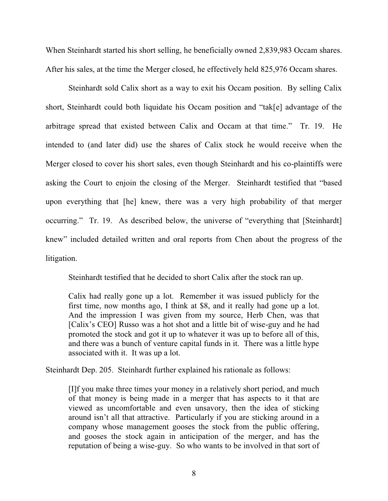When Steinhardt started his short selling, he beneficially owned 2,839,983 Occam shares. After his sales, at the time the Merger closed, he effectively held 825,976 Occam shares.

Steinhardt sold Calix short as a way to exit his Occam position. By selling Calix short, Steinhardt could both liquidate his Occam position and "tak[e] advantage of the arbitrage spread that existed between Calix and Occam at that time." Tr. 19. He intended to (and later did) use the shares of Calix stock he would receive when the Merger closed to cover his short sales, even though Steinhardt and his co-plaintiffs were asking the Court to enjoin the closing of the Merger. Steinhardt testified that "based upon everything that [he] knew, there was a very high probability of that merger occurring." Tr. 19. As described below, the universe of "everything that [Steinhardt] knew" included detailed written and oral reports from Chen about the progress of the litigation.

Steinhardt testified that he decided to short Calix after the stock ran up.

Calix had really gone up a lot. Remember it was issued publicly for the first time, now months ago, I think at \$8, and it really had gone up a lot. And the impression I was given from my source, Herb Chen, was that [Calix's CEO] Russo was a hot shot and a little bit of wise-guy and he had promoted the stock and got it up to whatever it was up to before all of this, and there was a bunch of venture capital funds in it. There was a little hype associated with it. It was up a lot.

Steinhardt Dep. 205. Steinhardt further explained his rationale as follows:

[I]f you make three times your money in a relatively short period, and much of that money is being made in a merger that has aspects to it that are viewed as uncomfortable and even unsavory, then the idea of sticking around isn't all that attractive. Particularly if you are sticking around in a company whose management gooses the stock from the public offering, and gooses the stock again in anticipation of the merger, and has the reputation of being a wise-guy. So who wants to be involved in that sort of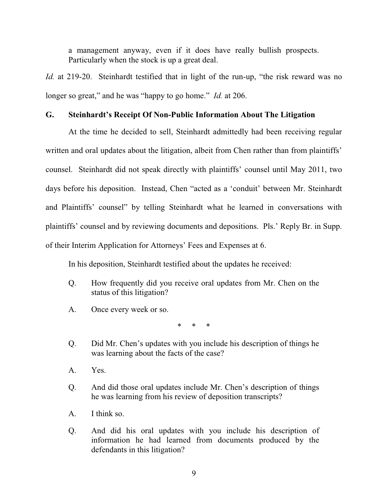a management anyway, even if it does have really bullish prospects. Particularly when the stock is up a great deal.

*Id.* at 219-20. Steinhardt testified that in light of the run-up, "the risk reward was no longer so great," and he was "happy to go home." *Id.* at 206.

# **G.** Steinhardt's Receipt Of Non-Public Information About The Litigation

At the time he decided to sell, Steinhardt admittedly had been receiving regular written and oral updates about the litigation, albeit from Chen rather than from plaintiffs' counsel. Steinhardt did not speak directly with plaintiffs' counsel until May 2011, two days before his deposition. Instead, Chen "acted as a 'conduit' between Mr. Steinhardt and Plaintiffs' counsel" by telling Steinhardt what he learned in conversations with plaintiffs' counsel and by reviewing documents and depositions. Pls.' Reply Br. in Supp. of their Interim Application for Attorneys' Fees and Expenses at 6.

In his deposition, Steinhardt testified about the updates he received:

- Q. How frequently did you receive oral updates from Mr. Chen on the status of this litigation?
- A. Once every week or so.

\* \* \*

- Q. Did Mr. Chen's updates with you include his description of things he was learning about the facts of the case?
- A. Yes.
- Q. And did those oral updates include Mr. Chen's description of things he was learning from his review of deposition transcripts?
- A. I think so.
- Q. And did his oral updates with you include his description of information he had learned from documents produced by the defendants in this litigation?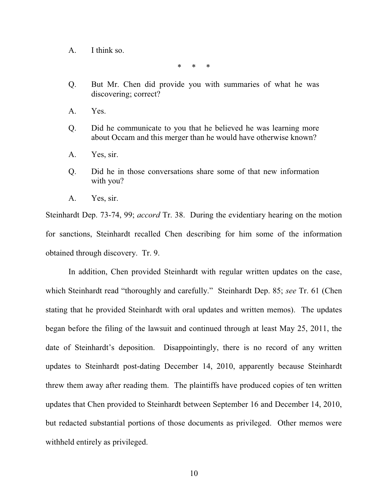A. I think so.

\* \* \*

- Q. But Mr. Chen did provide you with summaries of what he was discovering; correct?
- A. Yes.
- Q. Did he communicate to you that he believed he was learning more about Occam and this merger than he would have otherwise known?
- A. Yes, sir.
- Q. Did he in those conversations share some of that new information with you?
- A. Yes, sir.

Steinhardt Dep. 73-74, 99; *accord* Tr. 38. During the evidentiary hearing on the motion for sanctions, Steinhardt recalled Chen describing for him some of the information obtained through discovery. Tr. 9.

In addition, Chen provided Steinhardt with regular written updates on the case, which Steinhardt read "thoroughly and carefully." Steinhardt Dep. 85; see Tr. 61 (Chen stating that he provided Steinhardt with oral updates and written memos). The updates began before the filing of the lawsuit and continued through at least May 25, 2011, the date of Steinhardt's deposition. Disappointingly, there is no record of any written updates to Steinhardt post-dating December 14, 2010, apparently because Steinhardt threw them away after reading them. The plaintiffs have produced copies of ten written updates that Chen provided to Steinhardt between September 16 and December 14, 2010, but redacted substantial portions of those documents as privileged. Other memos were withheld entirely as privileged.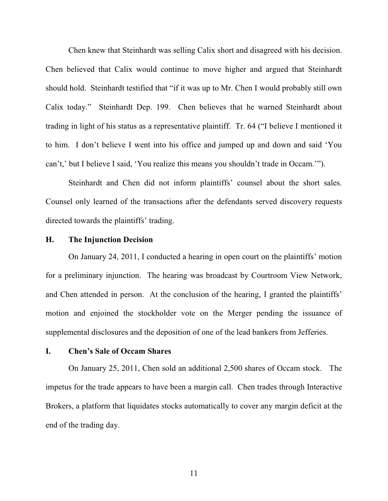Chen knew that Steinhardt was selling Calix short and disagreed with his decision. Chen believed that Calix would continue to move higher and argued that Steinhardt should hold. Steinhardt testified that "if it was up to Mr. Chen I would probably still own Calix today." Steinhardt Dep. 199. Chen believes that he warned Steinhardt about trading in light of his status as a representative plaintiff. Tr. 64 ("I believe I mentioned it to him. I don't believe I went into his office and jumped up and down and said 'You can't,' but I believe I said, 'You realize this means you shouldn't trade in Occam.'").

Steinhardt and Chen did not inform plaintiffs' counsel about the short sales. Counsel only learned of the transactions after the defendants served discovery requests directed towards the plaintiffs' trading.

# **H. The Injunction Decision**

On January 24, 2011, I conducted a hearing in open court on the plaintiffs' motion for a preliminary injunction. The hearing was broadcast by Courtroom View Network, and Chen attended in person. At the conclusion of the hearing, I granted the plaintiffs' motion and enjoined the stockholder vote on the Merger pending the issuance of supplemental disclosures and the deposition of one of the lead bankers from Jefferies.

#### **I. Chen's Sale of Occam Shares**

On January 25, 2011, Chen sold an additional 2,500 shares of Occam stock. The impetus for the trade appears to have been a margin call. Chen trades through Interactive Brokers, a platform that liquidates stocks automatically to cover any margin deficit at the end of the trading day.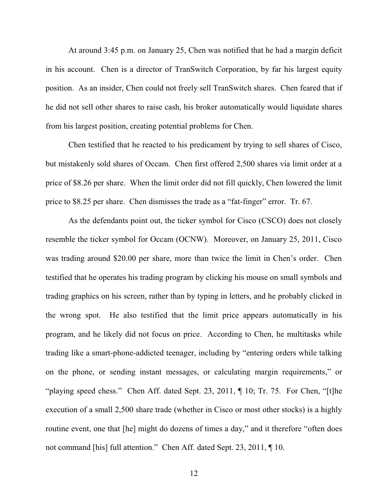At around 3:45 p.m. on January 25, Chen was notified that he had a margin deficit in his account. Chen is a director of TranSwitch Corporation, by far his largest equity position. As an insider, Chen could not freely sell TranSwitch shares. Chen feared that if he did not sell other shares to raise cash, his broker automatically would liquidate shares from his largest position, creating potential problems for Chen.

Chen testified that he reacted to his predicament by trying to sell shares of Cisco, but mistakenly sold shares of Occam. Chen first offered 2,500 shares via limit order at a price of \$8.26 per share. When the limit order did not fill quickly, Chen lowered the limit price to \$8.25 per share. Chen dismisses the trade as a "fat-finger" error. Tr. 67.

As the defendants point out, the ticker symbol for Cisco (CSCO) does not closely resemble the ticker symbol for Occam (OCNW). Moreover, on January 25, 2011, Cisco was trading around \$20.00 per share, more than twice the limit in Chen's order. Chen testified that he operates his trading program by clicking his mouse on small symbols and trading graphics on his screen, rather than by typing in letters, and he probably clicked in the wrong spot. He also testified that the limit price appears automatically in his program, and he likely did not focus on price. According to Chen, he multitasks while trading like a smart-phone-addicted teenager, including by "entering orders while talking on the phone, or sending instant messages, or calculating margin requirements," or "playing speed chess." Chen Aff. dated Sept. 23, 2011,  $\P$  10; Tr. 75. For Chen, "[t]he execution of a small 2,500 share trade (whether in Cisco or most other stocks) is a highly routine event, one that [he] might do dozens of times a day," and it therefore "often does" not command [his] full attention." Chen Aff. dated Sept. 23, 2011,  $\P$  10.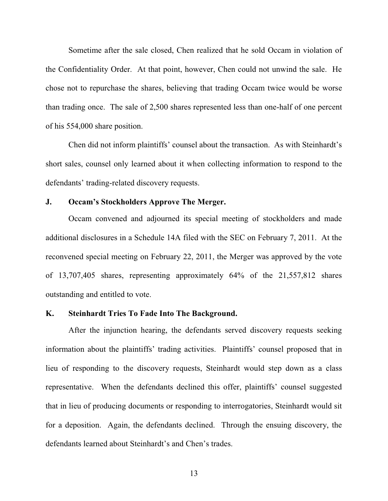Sometime after the sale closed, Chen realized that he sold Occam in violation of the Confidentiality Order. At that point, however, Chen could not unwind the sale. He chose not to repurchase the shares, believing that trading Occam twice would be worse than trading once. The sale of 2,500 shares represented less than one-half of one percent of his 554,000 share position.

Chen did not inform plaintiffs' counsel about the transaction. As with Steinhardt's short sales, counsel only learned about it when collecting information to respond to the defendants' trading-related discovery requests.

# **J. 2Decam's Stockholders Approve The Merger.**

Occam convened and adjourned its special meeting of stockholders and made additional disclosures in a Schedule 14A filed with the SEC on February 7, 2011. At the reconvened special meeting on February 22, 2011, the Merger was approved by the vote of 13,707,405 shares, representing approximately 64% of the 21,557,812 shares outstanding and entitled to vote.

# **K. Steinhardt Tries To Fade Into The Background.**

After the injunction hearing, the defendants served discovery requests seeking information about the plaintiffs' trading activities. Plaintiffs' counsel proposed that in lieu of responding to the discovery requests, Steinhardt would step down as a class representative. When the defendants declined this offer, plaintiffs' counsel suggested that in lieu of producing documents or responding to interrogatories, Steinhardt would sit for a deposition. Again, the defendants declined. Through the ensuing discovery, the defendants learned about Steinhardt's and Chen's trades.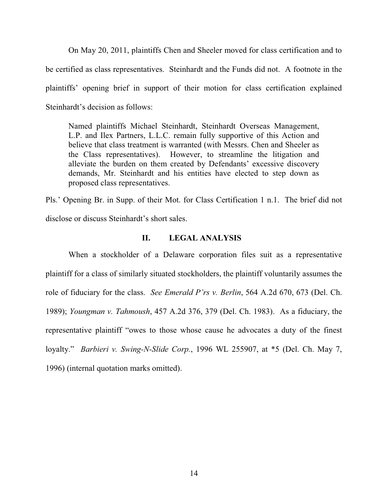On May 20, 2011, plaintiffs Chen and Sheeler moved for class certification and to be certified as class representatives. Steinhardt and the Funds did not. A footnote in the plaintiffs' opening brief in support of their motion for class certification explained Steinhardt's decision as follows:

Named plaintiffs Michael Steinhardt, Steinhardt Overseas Management, L.P. and Ilex Partners, L.L.C. remain fully supportive of this Action and believe that class treatment is warranted (with Messrs. Chen and Sheeler as the Class representatives). However, to streamline the litigation and alleviate the burden on them created by Defendants' excessive discovery demands, Mr. Steinhardt and his entities have elected to step down as proposed class representatives.

Pls.' Opening Br. in Supp. of their Mot. for Class Certification 1 n.1. The brief did not disclose or discuss Steinhardt's short sales.

# **II. LEGAL ANALYSIS**

When a stockholder of a Delaware corporation files suit as a representative plaintiff for a class of similarly situated stockholders, the plaintiff voluntarily assumes the role of fiduciary for the class. *See Emerald P'rs v. Berlin*, 564 A.2d 670, 673 (Del. Ch. 1989); *Youngman v. Tahmoush*, 457 A.2d 376, 379 (Del. Ch. 1983). As a fiduciary, the representative plaintiff "owes to those whose cause he advocates a duty of the finest loyalty." *Barbieri v. Swing-N-Slide Corp.*, 1996 WL 255907, at \*5 (Del. Ch. May 7, 1996) (internal quotation marks omitted).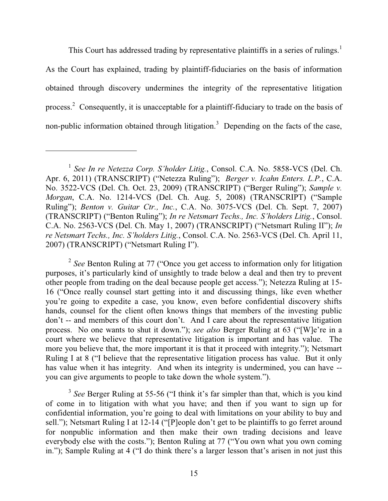This Court has addressed trading by representative plaintiffs in a series of rulings.<sup>1</sup> As the Court has explained, trading by plaintiff-fiduciaries on the basis of information obtained through discovery undermines the integrity of the representative litigation process.<sup>2</sup> Consequently, it is unacceptable for a plaintiff-fiduciary to trade on the basis of non-public information obtained through litigation.<sup>3</sup> Depending on the facts of the case,

 $\overline{a}$ 

 $2$  *See* Benton Ruling at 77 ("Once you get access to information only for litigation purposes, it's particularly kind of unsightly to trade below a deal and then try to prevent other people from trading on the deal because people get access."); Netezza Ruling at 15-16 ("Once really counsel start getting into it and discussing things, like even whether you're going to expedite a case, you know, even before confidential discovery shifts hands, counsel for the client often knows things that members of the investing public  $don't$  -- and members of this court don't. And I care about the representative litigation process. No one wants to shut it down."); see also Berger Ruling at 63 ("[W]e're in a court where we believe that representative litigation is important and has value. The more you believe that, the more important it is that it proceed with integrity."); Netsmart Ruling I at 8 ("I believe that the representative litigation process has value. But it only has value when it has integrity. And when its integrity is undermined, you can have - you can give arguments to people to take down the whole system.").

 $3$  *See* Berger Ruling at 55-56 ("I think it's far simpler than that, which is you kind of come in to litigation with what you have; and then if you want to sign up for confidential information, you're going to deal with limitations on your ability to buy and sell."); Netsmart Ruling I at 12-14 ("[P]eople don't get to be plaintiffs to go ferret around for nonpublic information and then make their own trading decisions and leave everybody else with the costs."); Benton Ruling at 77 ("You own what you own coming in."); Sample Ruling at 4 ( $\degree$ I do think there's a larger lesson that's arisen in not just this

<sup>&</sup>lt;sup>1</sup> See In re Netezza Corp. S'holder Litig., Consol. C.A. No. 5858-VCS (Del. Ch. Apr. 6, 2011) (TRANSCRIPT) ("Netezza Ruling"); *Berger v. Icahn Enters. L.P.*, C.A. No. 3522-VCS (Del. Ch. Oct. 23, 2009) (TRANSCRIPT) ("Berger Ruling"); Sample v. *Morgan*, C.A. No. 1214-VCS (Del. Ch. Aug. 5, 2008) (TRANSCRIPT) ("Sample Ruling"); *Benton v. Guitar Ctr., Inc.*, C.A. No. 3075-VCS (Del. Ch. Sept. 7, 2007) (TRANSCRIPT) ("Benton Ruling"); In re Netsmart Techs., Inc. S'holders Litig., Consol. C.A. No. 2563-VCS (Del. Ch. May 1, 2007) (TRANSCRIPT) ("Netsmart Ruling II"); *In re Netsmart Techs., Inc. S'holders Litig., Consol. C.A. No. 2563-VCS (Del. Ch. April 11, Property Literal April 11,*  $\epsilon$ 2007) (TRANSCRIPT) ("Netsmart Ruling I").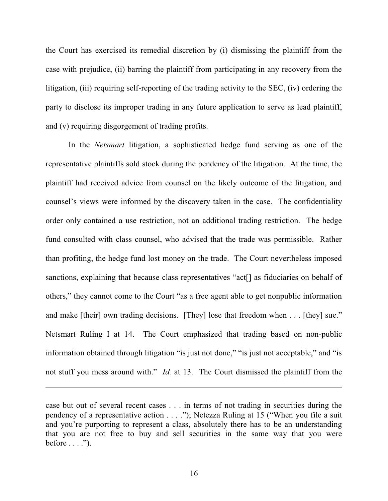the Court has exercised its remedial discretion by (i) dismissing the plaintiff from the case with prejudice, (ii) barring the plaintiff from participating in any recovery from the litigation, (iii) requiring self-reporting of the trading activity to the SEC, (iv) ordering the party to disclose its improper trading in any future application to serve as lead plaintiff, and (v) requiring disgorgement of trading profits.

In the *Netsmart* litigation, a sophisticated hedge fund serving as one of the representative plaintiffs sold stock during the pendency of the litigation. At the time, the plaintiff had received advice from counsel on the likely outcome of the litigation, and counsel's views were informed by the discovery taken in the case. The confidentiality order only contained a use restriction, not an additional trading restriction. The hedge fund consulted with class counsel, who advised that the trade was permissible. Rather than profiting, the hedge fund lost money on the trade. The Court nevertheless imposed sanctions, explaining that because class representatives "act<sup>[]</sup> as fiduciaries on behalf of others," they cannot come to the Court "as a free agent able to get nonpublic information and make [their] own trading decisions. [They] lose that freedom when  $\dots$  [they] sue." Netsmart Ruling I at 14. The Court emphasized that trading based on non-public information obtained through litigation "is just not done," "is just not acceptable," and "is not stuff you mess around with." *Id.* at 13. The Court dismissed the plaintiff from the

 $\overline{a}$ 

case but out of several recent cases . . . in terms of not trading in securities during the pendency of a representative action  $\dots$ ..."); Netezza Ruling at 15 ("When you file a suit and you're purporting to represent a class, absolutely there has to be an understanding that you are not free to buy and sell securities in the same way that you were before . . . .´).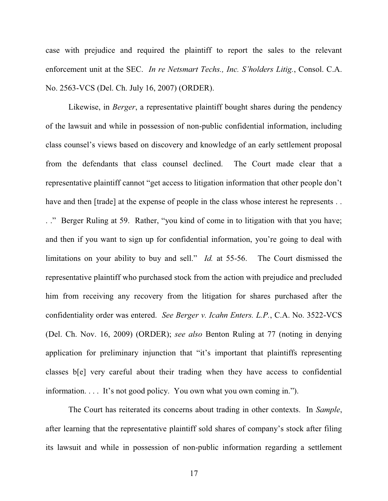case with prejudice and required the plaintiff to report the sales to the relevant enforcement unit at the SEC. *In re Netsmart Techs., Inc. S'holders Litig.*, Consol. C.A. No. 2563-VCS (Del. Ch. July 16, 2007) (ORDER).

Likewise, in *Berger*, a representative plaintiff bought shares during the pendency of the lawsuit and while in possession of non-public confidential information, including class counsel's views based on discovery and knowledge of an early settlement proposal from the defendants that class counsel declined. The Court made clear that a representative plaintiff cannot "get access to litigation information that other people don't have and then [trade] at the expense of people in the class whose interest he represents . . .." Berger Ruling at 59. Rather, "you kind of come in to litigation with that you have; and then if you want to sign up for confidential information, you're going to deal with limitations on your ability to buy and sell." *Id.* at 55-56. The Court dismissed the representative plaintiff who purchased stock from the action with prejudice and precluded him from receiving any recovery from the litigation for shares purchased after the confidentiality order was entered. *See Berger v. Icahn Enters. L.P.*, C.A. No. 3522-VCS (Del. Ch. Nov. 16, 2009) (ORDER); *see also* Benton Ruling at 77 (noting in denying application for preliminary injunction that "it's important that plaintiffs representing classes b[e] very careful about their trading when they have access to confidential information.... It's not good policy. You own what you own coming in.").

The Court has reiterated its concerns about trading in other contexts. In *Sample*, after learning that the representative plaintiff sold shares of company's stock after filing its lawsuit and while in possession of non-public information regarding a settlement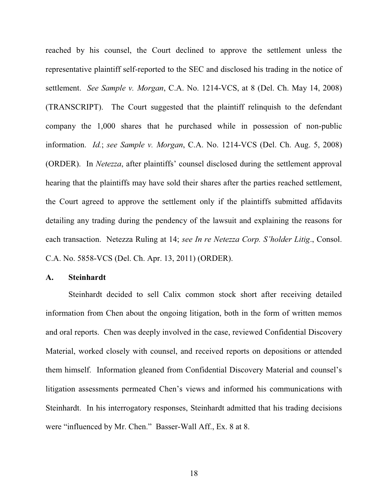reached by his counsel, the Court declined to approve the settlement unless the representative plaintiff self-reported to the SEC and disclosed his trading in the notice of settlement. *See Sample v. Morgan*, C.A. No. 1214-VCS, at 8 (Del. Ch. May 14, 2008) (TRANSCRIPT). The Court suggested that the plaintiff relinquish to the defendant company the 1,000 shares that he purchased while in possession of non-public information. *Id.*; *see Sample v. Morgan*, C.A. No. 1214-VCS (Del. Ch. Aug. 5, 2008) (ORDER). In *Netezza*, after plaintiffs' counsel disclosed during the settlement approval hearing that the plaintiffs may have sold their shares after the parties reached settlement, the Court agreed to approve the settlement only if the plaintiffs submitted affidavits detailing any trading during the pendency of the lawsuit and explaining the reasons for each transaction. Netezza Ruling at 14; *see In re Netezza Corp. S'holder Litig.*, Consol. C.A. No. 5858-VCS (Del. Ch. Apr. 13, 2011) (ORDER).

### **A. Steinhardt**

Steinhardt decided to sell Calix common stock short after receiving detailed information from Chen about the ongoing litigation, both in the form of written memos and oral reports. Chen was deeply involved in the case, reviewed Confidential Discovery Material, worked closely with counsel, and received reports on depositions or attended them himself. Information gleaned from Confidential Discovery Material and counsel's litigation assessments permeated Chen's views and informed his communications with Steinhardt. In his interrogatory responses, Steinhardt admitted that his trading decisions were "influenced by Mr. Chen." Basser-Wall Aff., Ex. 8 at 8.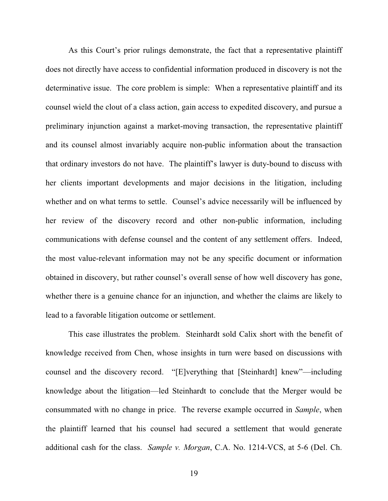As this Court's prior rulings demonstrate, the fact that a representative plaintiff does not directly have access to confidential information produced in discovery is not the determinative issue. The core problem is simple: When a representative plaintiff and its counsel wield the clout of a class action, gain access to expedited discovery, and pursue a preliminary injunction against a market-moving transaction, the representative plaintiff and its counsel almost invariably acquire non-public information about the transaction that ordinary investors do not have. The plaintiff's lawyer is duty-bound to discuss with her clients important developments and major decisions in the litigation, including whether and on what terms to settle. Counsel's advice necessarily will be influenced by her review of the discovery record and other non-public information, including communications with defense counsel and the content of any settlement offers. Indeed, the most value-relevant information may not be any specific document or information obtained in discovery, but rather counsel's overall sense of how well discovery has gone, whether there is a genuine chance for an injunction, and whether the claims are likely to lead to a favorable litigation outcome or settlement.

This case illustrates the problem. Steinhardt sold Calix short with the benefit of knowledge received from Chen, whose insights in turn were based on discussions with counsel and the discovery record. "[E]verything that [Steinhardt] knew"—including knowledge about the litigation—led Steinhardt to conclude that the Merger would be consummated with no change in price. The reverse example occurred in *Sample*, when the plaintiff learned that his counsel had secured a settlement that would generate additional cash for the class. *Sample v. Morgan*, C.A. No. 1214-VCS, at 5-6 (Del. Ch.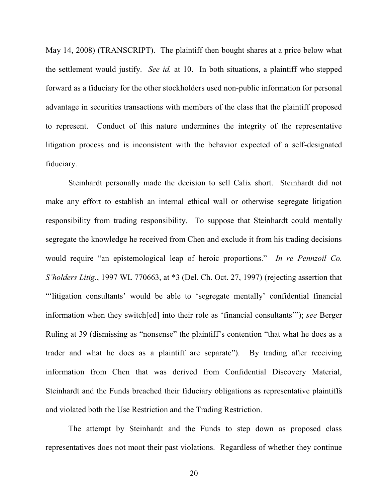May 14, 2008) (TRANSCRIPT). The plaintiff then bought shares at a price below what the settlement would justify. *See id.* at 10. In both situations, a plaintiff who stepped forward as a fiduciary for the other stockholders used non-public information for personal advantage in securities transactions with members of the class that the plaintiff proposed to represent. Conduct of this nature undermines the integrity of the representative litigation process and is inconsistent with the behavior expected of a self-designated fiduciary.

Steinhardt personally made the decision to sell Calix short. Steinhardt did not make any effort to establish an internal ethical wall or otherwise segregate litigation responsibility from trading responsibility. To suppose that Steinhardt could mentally segregate the knowledge he received from Chen and exclude it from his trading decisions would require "an epistemological leap of heroic proportions." In re Pennzoil Co. *6'holders Litig.*, 1997 WL 770663, at \*3 (Del. Ch. Oct. 27, 1997) (rejecting assertion that "litigation consultants' would be able to 'segregate mentally' confidential financial information when they switch[ed] into their role as 'financial consultants'"); *see* Berger Ruling at 39 (dismissing as "nonsense" the plaintiff's contention "that what he does as a trader and what he does as a plaintiff are separate"). By trading after receiving information from Chen that was derived from Confidential Discovery Material, Steinhardt and the Funds breached their fiduciary obligations as representative plaintiffs and violated both the Use Restriction and the Trading Restriction.

The attempt by Steinhardt and the Funds to step down as proposed class representatives does not moot their past violations. Regardless of whether they continue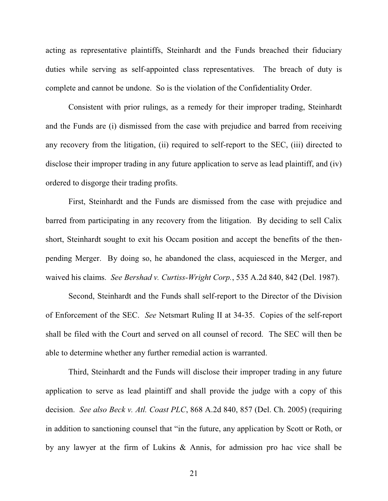acting as representative plaintiffs, Steinhardt and the Funds breached their fiduciary duties while serving as self-appointed class representatives. The breach of duty is complete and cannot be undone. So is the violation of the Confidentiality Order.

Consistent with prior rulings, as a remedy for their improper trading, Steinhardt and the Funds are (i) dismissed from the case with prejudice and barred from receiving any recovery from the litigation, (ii) required to self-report to the SEC, (iii) directed to disclose their improper trading in any future application to serve as lead plaintiff, and (iv) ordered to disgorge their trading profits.

First, Steinhardt and the Funds are dismissed from the case with prejudice and barred from participating in any recovery from the litigation. By deciding to sell Calix short, Steinhardt sought to exit his Occam position and accept the benefits of the thenpending Merger. By doing so, he abandoned the class, acquiesced in the Merger, and waived his claims. *See Bershad v. Curtiss-Wright Corp.*, 535 A.2d 840, 842 (Del. 1987).

Second, Steinhardt and the Funds shall self-report to the Director of the Division of Enforcement of the SEC. *See* Netsmart Ruling II at 34-35. Copies of the self-report shall be filed with the Court and served on all counsel of record. The SEC will then be able to determine whether any further remedial action is warranted.

Third, Steinhardt and the Funds will disclose their improper trading in any future application to serve as lead plaintiff and shall provide the judge with a copy of this decision. *See also Beck v. Atl. Coast PLC*, 868 A.2d 840, 857 (Del. Ch. 2005) (requiring in addition to sanctioning counsel that "in the future, any application by Scott or Roth, or by any lawyer at the firm of Lukins & Annis, for admission pro hac vice shall be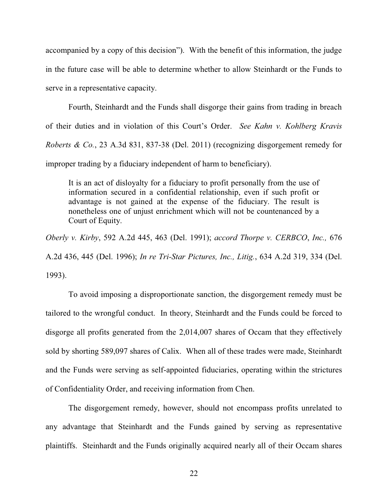accompanied by a copy of this decision"). With the benefit of this information, the judge in the future case will be able to determine whether to allow Steinhardt or the Funds to serve in a representative capacity.

Fourth, Steinhardt and the Funds shall disgorge their gains from trading in breach of their duties and in violation of this Court's Order. See Kahn v. Kohlberg Kravis *Roberts & Co.*, 23 A.3d 831, 837-38 (Del. 2011) (recognizing disgorgement remedy for improper trading by a fiduciary independent of harm to beneficiary).

It is an act of disloyalty for a fiduciary to profit personally from the use of information secured in a confidential relationship, even if such profit or advantage is not gained at the expense of the fiduciary. The result is nonetheless one of unjust enrichment which will not be countenanced by a Court of Equity.

*Oberly v. Kirby*, 592 A.2d 445, 463 (Del. 1991); *accord Thorpe v. CERBCO*, *Inc.,* 676 A.2d 436, 445 (Del. 1996); *In re Tri-Star Pictures, Inc., Litig.*, 634 A.2d 319, 334 (Del. 1993).

To avoid imposing a disproportionate sanction, the disgorgement remedy must be tailored to the wrongful conduct. In theory, Steinhardt and the Funds could be forced to disgorge all profits generated from the 2,014,007 shares of Occam that they effectively sold by shorting 589,097 shares of Calix. When all of these trades were made, Steinhardt and the Funds were serving as self-appointed fiduciaries, operating within the strictures of Confidentiality Order, and receiving information from Chen.

The disgorgement remedy, however, should not encompass profits unrelated to any advantage that Steinhardt and the Funds gained by serving as representative plaintiffs. Steinhardt and the Funds originally acquired nearly all of their Occam shares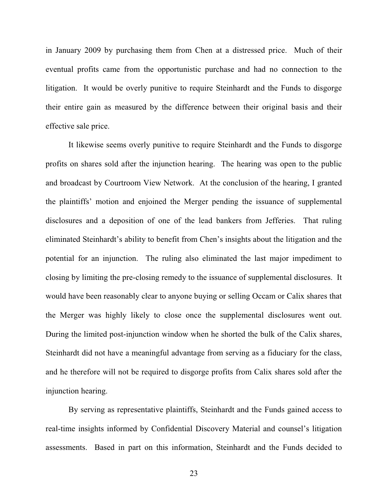in January 2009 by purchasing them from Chen at a distressed price. Much of their eventual profits came from the opportunistic purchase and had no connection to the litigation. It would be overly punitive to require Steinhardt and the Funds to disgorge their entire gain as measured by the difference between their original basis and their effective sale price.

It likewise seems overly punitive to require Steinhardt and the Funds to disgorge profits on shares sold after the injunction hearing. The hearing was open to the public and broadcast by Courtroom View Network. At the conclusion of the hearing, I granted the plaintiffs' motion and enjoined the Merger pending the issuance of supplemental disclosures and a deposition of one of the lead bankers from Jefferies. That ruling eliminated Steinhardt's ability to benefit from Chen's insights about the litigation and the potential for an injunction. The ruling also eliminated the last major impediment to closing by limiting the pre-closing remedy to the issuance of supplemental disclosures. It would have been reasonably clear to anyone buying or selling Occam or Calix shares that the Merger was highly likely to close once the supplemental disclosures went out. During the limited post-injunction window when he shorted the bulk of the Calix shares, Steinhardt did not have a meaningful advantage from serving as a fiduciary for the class, and he therefore will not be required to disgorge profits from Calix shares sold after the injunction hearing.

By serving as representative plaintiffs, Steinhardt and the Funds gained access to real-time insights informed by Confidential Discovery Material and counsel's litigation assessments. Based in part on this information, Steinhardt and the Funds decided to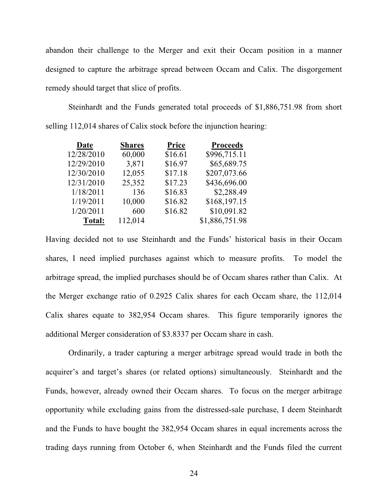abandon their challenge to the Merger and exit their Occam position in a manner designed to capture the arbitrage spread between Occam and Calix. The disgorgement remedy should target that slice of profits.

Steinhardt and the Funds generated total proceeds of \$1,886,751.98 from short selling 112,014 shares of Calix stock before the injunction hearing:

| Date       | <b>Shares</b> | <b>Price</b> | <b>Proceeds</b> |
|------------|---------------|--------------|-----------------|
| 12/28/2010 | 60,000        | \$16.61      | \$996,715.11    |
| 12/29/2010 | 3,871         | \$16.97      | \$65,689.75     |
| 12/30/2010 | 12,055        | \$17.18      | \$207,073.66    |
| 12/31/2010 | 25,352        | \$17.23      | \$436,696.00    |
| 1/18/2011  | 136           | \$16.83      | \$2,288.49      |
| 1/19/2011  | 10,000        | \$16.82      | \$168,197.15    |
| 1/20/2011  | 600           | \$16.82      | \$10,091.82     |
| Total:     | 112,014       |              | \$1,886,751.98  |
|            |               |              |                 |

Having decided not to use Steinhardt and the Funds' historical basis in their Occam shares, I need implied purchases against which to measure profits. To model the arbitrage spread, the implied purchases should be of Occam shares rather than Calix. At the Merger exchange ratio of 0.2925 Calix shares for each Occam share, the 112,014 Calix shares equate to 382,954 Occam shares. This figure temporarily ignores the additional Merger consideration of \$3.8337 per Occam share in cash.

Ordinarily, a trader capturing a merger arbitrage spread would trade in both the acquirer's and target's shares (or related options) simultaneously. Steinhardt and the Funds, however, already owned their Occam shares. To focus on the merger arbitrage opportunity while excluding gains from the distressed-sale purchase, I deem Steinhardt and the Funds to have bought the 382,954 Occam shares in equal increments across the trading days running from October 6, when Steinhardt and the Funds filed the current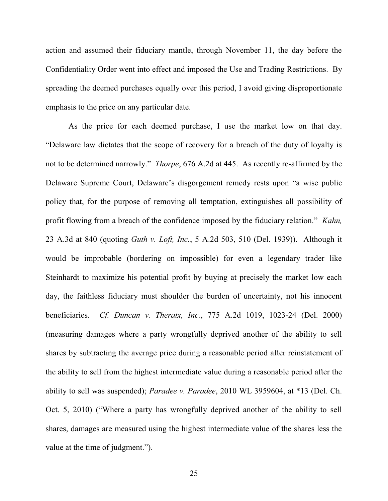action and assumed their fiduciary mantle, through November 11, the day before the Confidentiality Order went into effect and imposed the Use and Trading Restrictions. By spreading the deemed purchases equally over this period, I avoid giving disproportionate emphasis to the price on any particular date.

As the price for each deemed purchase, I use the market low on that day. "Delaware law dictates that the scope of recovery for a breach of the duty of loyalty is not to be determined narrowly." *Thorpe*, 676 A.2d at 445. As recently re-affirmed by the Delaware Supreme Court, Delaware's disgorgement remedy rests upon "a wise public policy that, for the purpose of removing all temptation, extinguishes all possibility of profit flowing from a breach of the confidence imposed by the fiduciary relation." *Kahn,* 23 A.3d at 840 (quoting *Guth v. Loft, Inc.*, 5 A.2d 503, 510 (Del. 1939)). Although it would be improbable (bordering on impossible) for even a legendary trader like Steinhardt to maximize his potential profit by buying at precisely the market low each day, the faithless fiduciary must shoulder the burden of uncertainty, not his innocent beneficiaries. *Cf. Duncan v. Theratx, Inc.*, 775 A.2d 1019, 1023-24 (Del. 2000) (measuring damages where a party wrongfully deprived another of the ability to sell shares by subtracting the average price during a reasonable period after reinstatement of the ability to sell from the highest intermediate value during a reasonable period after the ability to sell was suspended); *Paradee v. Paradee*, 2010 WL 3959604, at \*13 (Del. Ch. Oct. 5, 2010) ("Where a party has wrongfully deprived another of the ability to sell shares, damages are measured using the highest intermediate value of the shares less the value at the time of judgment.").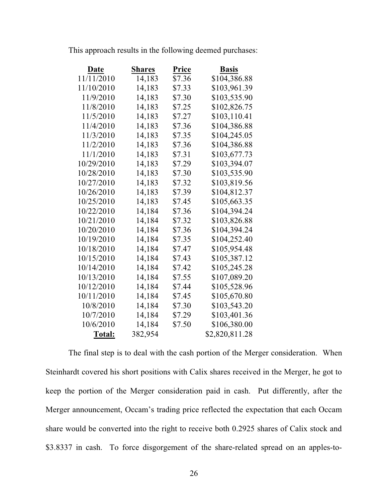|  |  |  |  | This approach results in the following deemed purchases: |
|--|--|--|--|----------------------------------------------------------|
|  |  |  |  |                                                          |
|  |  |  |  |                                                          |
|  |  |  |  |                                                          |

| Date          | <b>Shares</b> | Price  | <b>Basis</b>   |
|---------------|---------------|--------|----------------|
| 11/11/2010    | 14,183        | \$7.36 | \$104,386.88   |
| 11/10/2010    | 14,183        | \$7.33 | \$103,961.39   |
| 11/9/2010     | 14,183        | \$7.30 | \$103,535.90   |
| 11/8/2010     | 14,183        | \$7.25 | \$102,826.75   |
| 11/5/2010     | 14,183        | \$7.27 | \$103,110.41   |
| 11/4/2010     | 14,183        | \$7.36 | \$104,386.88   |
| 11/3/2010     | 14,183        | \$7.35 | \$104,245.05   |
| 11/2/2010     | 14,183        | \$7.36 | \$104,386.88   |
| 11/1/2010     | 14,183        | \$7.31 | \$103,677.73   |
| 10/29/2010    | 14,183        | \$7.29 | \$103,394.07   |
| 10/28/2010    | 14,183        | \$7.30 | \$103,535.90   |
| 10/27/2010    | 14,183        | \$7.32 | \$103,819.56   |
| 10/26/2010    | 14,183        | \$7.39 | \$104,812.37   |
| 10/25/2010    | 14,183        | \$7.45 | \$105,663.35   |
| 10/22/2010    | 14,184        | \$7.36 | \$104,394.24   |
| 10/21/2010    | 14,184        | \$7.32 | \$103,826.88   |
| 10/20/2010    | 14,184        | \$7.36 | \$104,394.24   |
| 10/19/2010    | 14,184        | \$7.35 | \$104,252.40   |
| 10/18/2010    | 14,184        | \$7.47 | \$105,954.48   |
| 10/15/2010    | 14,184        | \$7.43 | \$105,387.12   |
| 10/14/2010    | 14,184        | \$7.42 | \$105,245.28   |
| 10/13/2010    | 14,184        | \$7.55 | \$107,089.20   |
| 10/12/2010    | 14,184        | \$7.44 | \$105,528.96   |
| 10/11/2010    | 14,184        | \$7.45 | \$105,670.80   |
| 10/8/2010     | 14,184        | \$7.30 | \$103,543.20   |
| 10/7/2010     | 14,184        | \$7.29 | \$103,401.36   |
| 10/6/2010     | 14,184        | \$7.50 | \$106,380.00   |
| <b>Total:</b> | 382,954       |        | \$2,820,811.28 |

The final step is to deal with the cash portion of the Merger consideration. When Steinhardt covered his short positions with Calix shares received in the Merger, he got to keep the portion of the Merger consideration paid in cash. Put differently, after the Merger announcement, Occam's trading price reflected the expectation that each Occam share would be converted into the right to receive both 0.2925 shares of Calix stock and \$3.8337 in cash. To force disgorgement of the share-related spread on an apples-to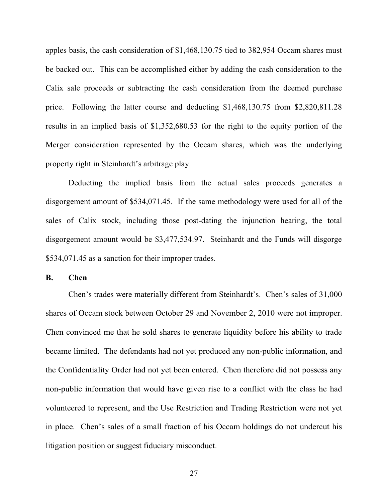apples basis, the cash consideration of \$1,468,130.75 tied to 382,954 Occam shares must be backed out. This can be accomplished either by adding the cash consideration to the Calix sale proceeds or subtracting the cash consideration from the deemed purchase price. Following the latter course and deducting \$1,468,130.75 from \$2,820,811.28 results in an implied basis of \$1,352,680.53 for the right to the equity portion of the Merger consideration represented by the Occam shares, which was the underlying property right in Steinhardt's arbitrage play.

Deducting the implied basis from the actual sales proceeds generates a disgorgement amount of \$534,071.45. If the same methodology were used for all of the sales of Calix stock, including those post-dating the injunction hearing, the total disgorgement amount would be \$3,477,534.97. Steinhardt and the Funds will disgorge \$534,071.45 as a sanction for their improper trades.

**B. Chen** 

Chen's trades were materially different from Steinhardt's. Chen's sales of 31,000 shares of Occam stock between October 29 and November 2, 2010 were not improper. Chen convinced me that he sold shares to generate liquidity before his ability to trade became limited. The defendants had not yet produced any non-public information, and the Confidentiality Order had not yet been entered. Chen therefore did not possess any non-public information that would have given rise to a conflict with the class he had volunteered to represent, and the Use Restriction and Trading Restriction were not yet in place. Chen's sales of a small fraction of his Occam holdings do not undercut his litigation position or suggest fiduciary misconduct.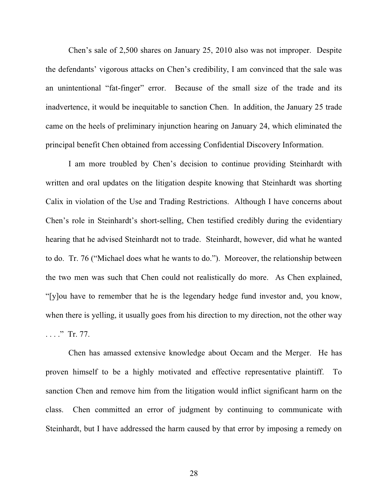Chen's sale of  $2,500$  shares on January 25, 2010 also was not improper. Despite the defendants' vigorous attacks on Chen's credibility, I am convinced that the sale was an unintentional "fat-finger" error. Because of the small size of the trade and its inadvertence, it would be inequitable to sanction Chen. In addition, the January 25 trade came on the heels of preliminary injunction hearing on January 24, which eliminated the principal benefit Chen obtained from accessing Confidential Discovery Information.

I am more troubled by Chen's decision to continue providing Steinhardt with written and oral updates on the litigation despite knowing that Steinhardt was shorting Calix in violation of the Use and Trading Restrictions. Although I have concerns about Chen's role in Steinhardt's short-selling, Chen testified credibly during the evidentiary hearing that he advised Steinhardt not to trade. Steinhardt, however, did what he wanted to do. Tr. 76 ("Michael does what he wants to do."). Moreover, the relationship between the two men was such that Chen could not realistically do more. As Chen explained, "[y]ou have to remember that he is the legendary hedge fund investor and, you know, when there is yelling, it usually goes from his direction to my direction, not the other way  $\ldots$  . Tr. 77.

Chen has amassed extensive knowledge about Occam and the Merger. He has proven himself to be a highly motivated and effective representative plaintiff. To sanction Chen and remove him from the litigation would inflict significant harm on the class. Chen committed an error of judgment by continuing to communicate with Steinhardt, but I have addressed the harm caused by that error by imposing a remedy on